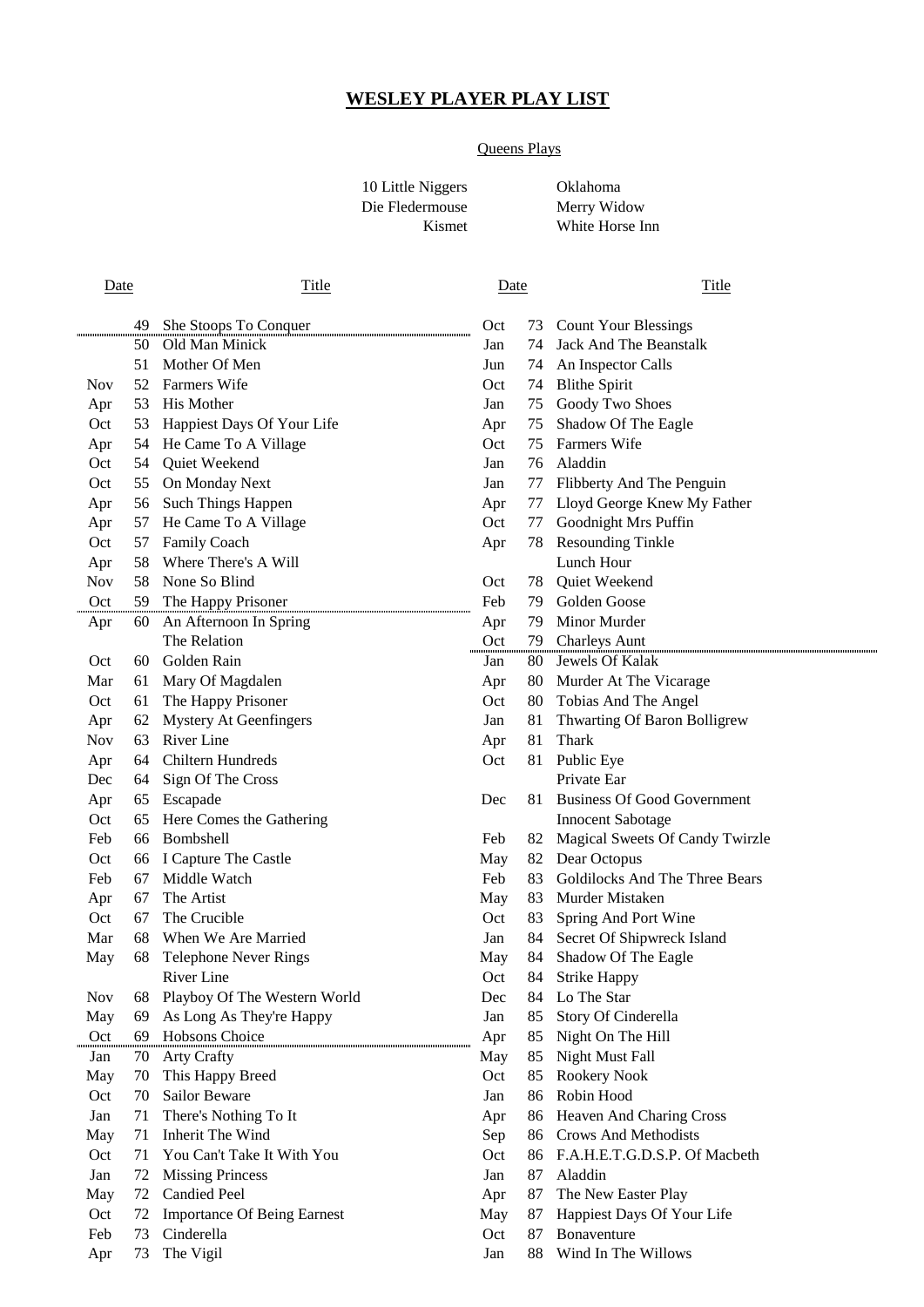# **WESLEY PLAYER PLAY LIST**

## Queens Plays

10 Little Niggers Oklahoma Die Fledermouse Merry Widow

Kismet White Horse Inn

| Date       |          | <b>Title</b>                                |            | <b>Date</b> | Title                                                    |  |
|------------|----------|---------------------------------------------|------------|-------------|----------------------------------------------------------|--|
|            |          |                                             | Oct        |             |                                                          |  |
|            | 49<br>50 | She Stoops To Conquer<br>Old Man Minick     | Jan        | 74          | 73 Count Your Blessings<br><b>Jack And The Beanstalk</b> |  |
|            | 51       | Mother Of Men                               | Jun        | 74          | An Inspector Calls                                       |  |
| <b>Nov</b> | 52       | <b>Farmers Wife</b>                         | Oct        | 74          | <b>Blithe Spirit</b>                                     |  |
|            | 53       | His Mother                                  | Jan        | 75          | Goody Two Shoes                                          |  |
| Apr<br>Oct |          |                                             |            | 75          |                                                          |  |
|            | 53       | Happiest Days Of Your Life                  | Apr<br>Oct | 75          | Shadow Of The Eagle<br>Farmers Wife                      |  |
| Apr        |          | 54 He Came To A Village<br>54 Quiet Weekend |            |             | 76 Aladdin                                               |  |
| Oct        |          |                                             | Jan        |             |                                                          |  |
| Oct        |          | 55 On Monday Next                           | Jan        |             | 77 Flibberty And The Penguin                             |  |
| Apr        |          | 56 Such Things Happen                       | Apr        | 77          | Lloyd George Knew My Father                              |  |
| Apr        |          | 57 He Came To A Village                     | Oct        | 77          | Goodnight Mrs Puffin                                     |  |
| Oct        | 57       | Family Coach                                | Apr        | 78          | <b>Resounding Tinkle</b>                                 |  |
| Apr        | 58       | Where There's A Will                        |            |             | Lunch Hour                                               |  |
| <b>Nov</b> | 58       | None So Blind                               | Oct        | 78          | Quiet Weekend                                            |  |
| Oct        | 59       | The Happy Prisoner                          | Feb        | 79          | Golden Goose                                             |  |
| Apr        |          | 60 An Afternoon In Spring                   | Apr        | 79          | Minor Murder                                             |  |
|            |          | The Relation                                | Oct        | 79.         | <b>Charleys Aunt</b>                                     |  |
| Oct        |          | 60 Golden Rain                              | Jan        | 80.         | Jewels Of Kalak                                          |  |
| Mar        |          | 61 Mary Of Magdalen                         | Apr        | 80          | Murder At The Vicarage                                   |  |
| Oct        | 61       | The Happy Prisoner                          | Oct        | 80          | Tobias And The Angel                                     |  |
| Apr        | 62       | <b>Mystery At Geenfingers</b>               | Jan        | 81          | Thwarting Of Baron Bolligrew                             |  |
| <b>Nov</b> | 63       | River Line                                  | Apr        | 81          | Thark                                                    |  |
| Apr        | 64       | <b>Chiltern Hundreds</b>                    | Oct        | 81          | Public Eye                                               |  |
| Dec        | 64       | Sign Of The Cross                           |            |             | Private Ear                                              |  |
| Apr        |          | 65 Escapade                                 | Dec        | 81.         | <b>Business Of Good Government</b>                       |  |
| Oct        |          | 65 Here Comes the Gathering                 |            |             | <b>Innocent Sabotage</b>                                 |  |
| Feb        | 66       | Bombshell                                   | Feb        | 82          | Magical Sweets Of Candy Twirzle                          |  |
| Oct        | 66       | I Capture The Castle                        | May        | 82          | Dear Octopus                                             |  |
| Feb        | 67       | Middle Watch                                | Feb        | 83          | Goldilocks And The Three Bears                           |  |
| Apr        | 67       | The Artist                                  | May        | 83          | Murder Mistaken                                          |  |
| Oct        | 67       | The Crucible                                | Oct        | 83          | Spring And Port Wine                                     |  |
| Mar        | 68       | When We Are Married                         | Jan        | 84          | Secret Of Shipwreck Island                               |  |
| May        | 68       | <b>Telephone Never Rings</b>                | May        | 84          | Shadow Of The Eagle                                      |  |
|            |          | River Line                                  | Oct        |             | 84 Strike Happy                                          |  |
| <b>Nov</b> | 68       | Playboy Of The Western World                | Dec        | 84          | Lo The Star                                              |  |
| May        | 69       | As Long As They're Happy                    | Jan        | 85          | Story Of Cinderella                                      |  |
| Oct        |          | 69 Hobsons Choice                           | Apr        | 85          | Night On The Hill                                        |  |
| Jan        | 70       | <b>Arty Crafty</b>                          | May        | 85          | Night Must Fall                                          |  |
| May        | 70       | This Happy Breed                            | Oct        | 85          | Rookery Nook                                             |  |
| Oct        | 70       | Sailor Beware                               | Jan        | 86          | Robin Hood                                               |  |
| Jan        | 71       | There's Nothing To It                       | Apr        | 86          | Heaven And Charing Cross                                 |  |
| May        |          | 71 Inherit The Wind                         | Sep        |             | 86 Crows And Methodists                                  |  |
| Oct        | 71       | You Can't Take It With You                  | Oct        |             | 86 F.A.H.E.T.G.D.S.P. Of Macbeth                         |  |
| Jan        | 72       | <b>Missing Princess</b>                     | Jan        | 87          | Aladdin                                                  |  |
| May        | 72       | <b>Candied Peel</b>                         | Apr        | 87          | The New Easter Play                                      |  |
| Oct        | 72       | <b>Importance Of Being Earnest</b>          | May        | 87          | Happiest Days Of Your Life                               |  |
| Feb        | 73       | Cinderella                                  | Oct        | 87          | Bonaventure                                              |  |
| Apr        | 73       | The Vigil                                   | Jan        | 88          | Wind In The Willows                                      |  |

| Oct | 73 | <b>Count Your Blessings</b>        |
|-----|----|------------------------------------|
| Jan | 74 | <b>Jack And The Beanstalk</b>      |
| Jun | 74 | An Inspector Calls                 |
| Oct | 74 | <b>Blithe Spirit</b>               |
| Jan | 75 | Goody Two Shoes                    |
| Apr | 75 | Shadow Of The Eagle                |
| Oct | 75 | <b>Farmers Wife</b>                |
| Jan | 76 | Aladdin                            |
| Jan | 77 | Flibberty And The Penguin          |
| Apr | 77 | Lloyd George Knew My Father        |
| Oct | 77 | Goodnight Mrs Puffin               |
| Apr | 78 | <b>Resounding Tinkle</b>           |
|     |    | Lunch Hour                         |
| Oct | 78 | Quiet Weekend                      |
| Feb | 79 | Golden Goose                       |
| Apr | 79 | Minor Murder                       |
| Oct | 79 | <b>Charleys Aunt</b>               |
| Jan | 80 | Jewels Of Kalak                    |
| Apr | 80 | Murder At The Vicarage             |
| Oct | 80 | Tobias And The Angel               |
| Jan | 81 | Thwarting Of Baron Bolligrew       |
| Apr | 81 | Thark                              |
| Oct | 81 | Public Eye                         |
|     |    | Private Ear                        |
| Dec | 81 | <b>Business Of Good Government</b> |
|     |    | <b>Innocent Sabotage</b>           |
| Feb | 82 | Magical Sweets Of Candy Twirzle    |
| May | 82 | Dear Octopus                       |
| Feb | 83 | Goldilocks And The Three Bears     |
| May | 83 | Murder Mistaken                    |
| Oct | 83 | Spring And Port Wine               |
| Jan | 84 | Secret Of Shipwreck Island         |
| May | 84 | Shadow Of The Eagle                |
| Oct | 84 | Strike Happy                       |
| Dec | 84 | Lo The Star                        |
| Jan | 85 | Story Of Cinderella                |
| Apr | 85 | Night On The Hill                  |
| May | 85 | <b>Night Must Fall</b>             |
| Oct | 85 | Rookery Nook                       |
| Jan | 86 | Robin Hood                         |
| Apr | 86 | Heaven And Charing Cross           |
| Sep | 86 | <b>Crows And Methodists</b>        |
| Oct | 86 | F.A.H.E.T.G.D.S.P. Of Macbeth      |
| Jan | 87 | Aladdin                            |
| Apr | 87 | The New Easter Play                |
| May | 87 | Happiest Days Of Your Life         |
| Oct | 87 | Bonaventure                        |
| Jan | 88 | Wind In The Willows                |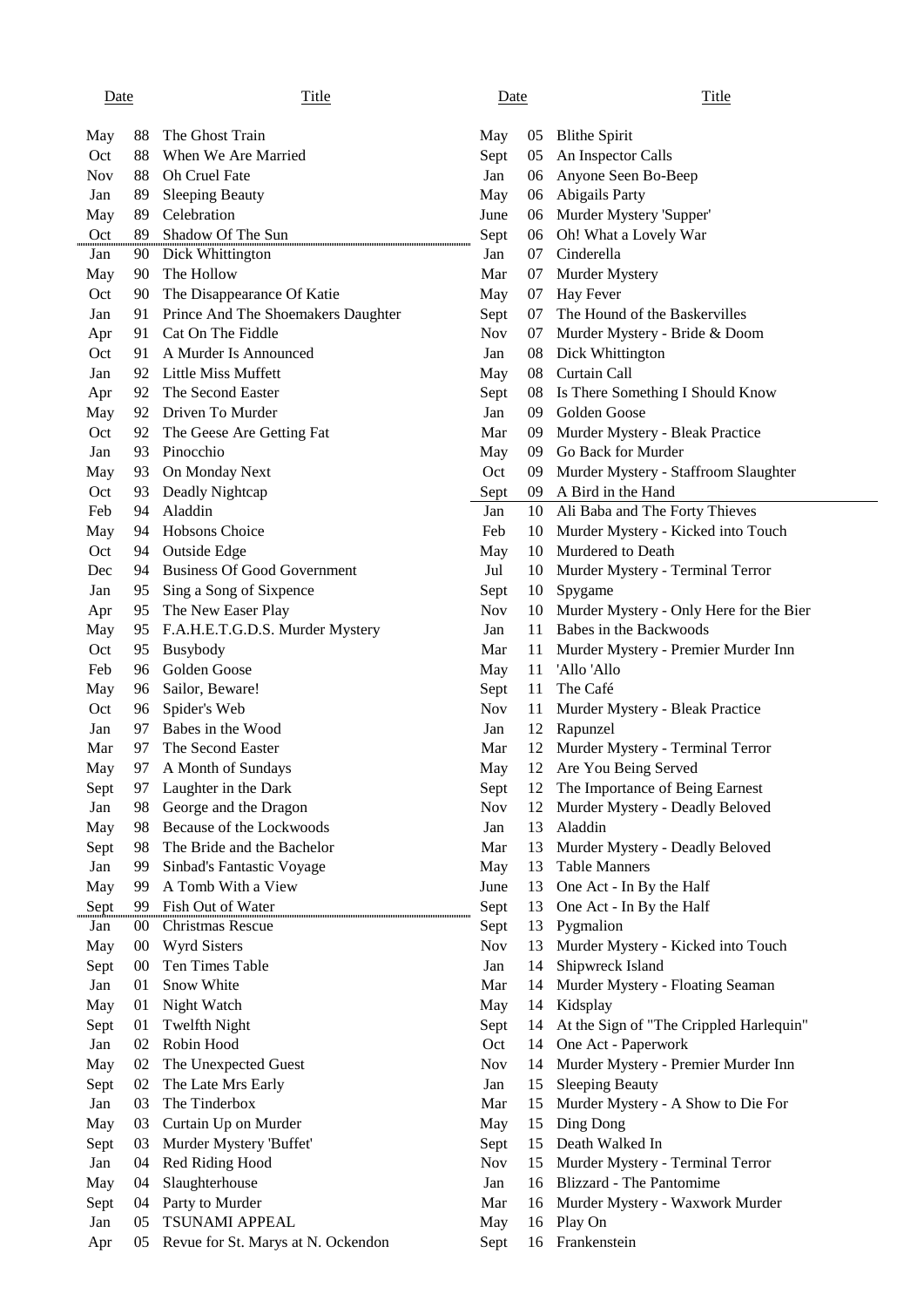### Date Charles Contract Title Charles Date Date Charles Title

| May        | 88              | The Ghost Train                       | May                |    | 05 Blithe Spirit                           |
|------------|-----------------|---------------------------------------|--------------------|----|--------------------------------------------|
| Oct        | 88              | When We Are Married                   | Sept               | 05 | An Inspector Calls                         |
| <b>Nov</b> | 88              | Oh Cruel Fate                         | Jan                | 06 | Anyone Seen Bo-Beep                        |
| Jan        | 89              | <b>Sleeping Beauty</b>                | May                | 06 | Abigails Party                             |
| May        | 89              | Celebration                           | June               | 06 | Murder Mystery 'Supper'                    |
| Oct        | 89              | Shadow Of The Sun                     | Sept               | 06 | Oh! What a Lovely War                      |
| Jan        | 90              | Dick Whittington                      | Jan                | 07 | Cinderella                                 |
| May        |                 | 90 The Hollow                         | Mar                | 07 | Murder Mystery                             |
| Oct        | 90              | The Disappearance Of Katie            | May                |    | 07 Hay Fever                               |
| Jan        |                 | 91 Prince And The Shoemakers Daughter | Sept               | 07 | The Hound of the Baskervilles              |
| Apr        |                 | 91 Cat On The Fiddle                  | <b>Nov</b>         | 07 | Murder Mystery - Bride & Doom              |
| Oct        | 91              | A Murder Is Announced                 | Jan                | 08 | Dick Whittington                           |
| Jan        | 92              | Little Miss Muffett                   | May                | 08 | Curtain Call                               |
| Apr        |                 | 92 The Second Easter                  | Sept               |    | 08 Is There Something I Should Know        |
| May        |                 | 92 Driven To Murder                   | Jan                |    | 09 Golden Goose                            |
| Oct        | 92              | The Geese Are Getting Fat             | Mar                |    | 09 Murder Mystery - Bleak Practice         |
| Jan        | 93              | Pinocchio                             | May                |    | 09 Go Back for Murder                      |
| May        |                 | 93 On Monday Next                     | Oct                | 09 | Murder Mystery - Staffroom Slaughter       |
| Oct        | 93              | Deadly Nightcap                       | Sept               |    | 09 A Bird in the Hand                      |
| Feb        | 94              | Aladdin                               | Jan                |    | 10 Ali Baba and The Forty Thieves          |
| May        | 94              | Hobsons Choice                        | Feb                | 10 | Murder Mystery - Kicked into Touch         |
| Oct        | 94              | Outside Edge                          | May                | 10 | Murdered to Death                          |
| Dec        | 94              | <b>Business Of Good Government</b>    | Jul                | 10 | Murder Mystery - Terminal Terror           |
| Jan        |                 |                                       |                    | 10 | Spygame                                    |
|            |                 | 95 Sing a Song of Sixpence            | Sept<br><b>Nov</b> |    | 10 Murder Mystery - Only Here for the Bier |
| Apr        |                 | 95 The New Easer Play                 |                    |    | 11 Babes in the Backwoods                  |
| May        |                 | 95 F.A.H.E.T.G.D.S. Murder Mystery    | Jan                |    |                                            |
| Oct        | 95              | Busybody                              | Mar                | 11 | Murder Mystery - Premier Murder Inn        |
| Feb        | 96              | Golden Goose                          | May                | 11 | 'Allo 'Allo                                |
| May        | 96              | Sailor, Beware!                       | Sept               | 11 | The Café                                   |
| Oct        | 96              | Spider's Web                          | <b>Nov</b>         | 11 | Murder Mystery - Bleak Practice            |
| Jan        | 97              | Babes in the Wood                     | Jan                | 12 | Rapunzel                                   |
| Mar        | 97              | The Second Easter                     | Mar                | 12 | Murder Mystery - Terminal Terror           |
| May        | 97              | A Month of Sundays                    | May                | 12 | Are You Being Served                       |
| Sept       | 97              | Laughter in the Dark                  | Sept               | 12 | The Importance of Being Earnest            |
| Jan        | 98              | George and the Dragon                 | <b>Nov</b>         | 12 | Murder Mystery - Deadly Beloved            |
| May        | 98              | Because of the Lockwoods              | Jan                | 13 | Aladdin                                    |
| Sept       | 98              | The Bride and the Bachelor            | Mar                | 13 | Murder Mystery - Deadly Beloved            |
| Jan        | 99              | Sinbad's Fantastic Voyage             | May                | 13 | <b>Table Manners</b>                       |
| May        | 99              | A Tomb With a View                    | June               | 13 | One Act - In By the Half                   |
| Sept       | 99              | Fish Out of Water                     | Sept               | 13 | One Act - In By the Half                   |
| Jan        | 00 <sup>°</sup> | Christmas Rescue                      | Sept               | 13 | Pygmalion                                  |
| May        | $00\,$          | <b>Wyrd Sisters</b>                   | <b>Nov</b>         | 13 | Murder Mystery - Kicked into Touch         |
| Sept       | 00              | Ten Times Table                       | Jan                | 14 | Shipwreck Island                           |
| Jan        | 01              | Snow White                            | Mar                | 14 | Murder Mystery - Floating Seaman           |
| May        | 01              | Night Watch                           | May                | 14 | Kidsplay                                   |
| Sept       | 01              | Twelfth Night                         | Sept               | 14 | At the Sign of "The Crippled Harlequin"    |
| Jan        | 02              | Robin Hood                            | Oct                | 14 | One Act - Paperwork                        |
| May        | 02              | The Unexpected Guest                  | <b>Nov</b>         | 14 | Murder Mystery - Premier Murder Inn        |
| Sept       | 02              | The Late Mrs Early                    | Jan                | 15 | <b>Sleeping Beauty</b>                     |
| Jan        | 03              | The Tinderbox                         | Mar                | 15 | Murder Mystery - A Show to Die For         |
| May        | 03              | Curtain Up on Murder                  | May                | 15 | Ding Dong                                  |
| Sept       | 03              | Murder Mystery 'Buffet'               | Sept               | 15 | Death Walked In                            |
| Jan        | 04              | Red Riding Hood                       | <b>Nov</b>         | 15 | Murder Mystery - Terminal Terror           |
| May        | 04              | Slaughterhouse                        | Jan                | 16 | Blizzard - The Pantomime                   |
| Sept       | 04              | Party to Murder                       | Mar                | 16 | Murder Mystery - Waxwork Murder            |
| Jan        | 05              | <b>TSUNAMI APPEAL</b>                 | May                | 16 | Play On                                    |
| Apr        | 05              | Revue for St. Marys at N. Ockendon    | Sept               |    | 16 Frankenstein                            |

| May        | 05 | <b>Blithe Spirit</b>                    |
|------------|----|-----------------------------------------|
| Sept       | 05 | An Inspector Calls                      |
| Jan        | 06 | Anyone Seen Bo-Beep                     |
| May        | 06 | <b>Abigails Party</b>                   |
|            |    |                                         |
| June       | 06 | Murder Mystery 'Supper'                 |
| Sept       | 06 | Oh! What a Lovely War                   |
| Jan        | 07 | Cinderella                              |
| Mar        | 07 | Murder Mystery                          |
| May        | 07 | Hay Fever                               |
| Sept       | 07 | The Hound of the Baskervilles           |
| <b>Nov</b> | 07 | Murder Mystery - Bride & Doom           |
| Jan        | 08 | Dick Whittington                        |
| May        | 08 | Curtain Call                            |
| Sept       | 08 | Is There Something I Should Know        |
| Jan        | 09 | Golden Goose                            |
| Mar        | 09 | Murder Mystery - Bleak Practice         |
| May        | 09 | Go Back for Murder                      |
| Oct        | 09 | Murder Mystery - Staffroom Slaughter    |
| Sept       | 09 | A Bird in the Hand                      |
| Jan        | 10 | Ali Baba and The Forty Thieves          |
| Feb        | 10 | Murder Mystery - Kicked into Touch      |
| May        | 10 | Murdered to Death                       |
| Jul        | 10 | Murder Mystery - Terminal Terror        |
| Sept       | 10 | Spygame                                 |
| <b>Nov</b> | 10 | Murder Mystery - Only Here for the Bier |
| Jan        | 11 | Babes in the Backwoods                  |
| Mar        | 11 | Murder Mystery - Premier Murder Inn     |
| May        | 11 | 'Allo 'Allo                             |
| Sept       | 11 | The Café                                |
| <b>Nov</b> | 11 | Murder Mystery - Bleak Practice         |
| Jan        | 12 | Rapunzel                                |
| Mar        | 12 | Murder Mystery - Terminal Terror        |
| May        | 12 | Are You Being Served                    |
| Sept       | 12 | The Importance of Being Earnest         |
| Nov        | 12 | Murder Mystery - Deadly Beloved         |
|            |    |                                         |
| Jan        | 13 | Aladdin                                 |
| Mar        | 13 | Murder Mystery - Deadly Beloved         |
| May        | 13 | <b>Table Manners</b>                    |
| June       | 13 | One Act - In By the Half                |
| Sept       | 13 | One Act - In By the Half                |
| Sept       | 13 | Pygmalion                               |
| <b>Nov</b> | 13 | Murder Mystery - Kicked into Touch      |
| Jan        | 14 | Shipwreck Island                        |
| Mar        | 14 | Murder Mystery - Floating Seaman        |
| May        | 14 | Kidsplay                                |
| Sept       | 14 | At the Sign of "The Crippled Harlequin" |
| Oct        | 14 | One Act - Paperwork                     |
| <b>Nov</b> | 14 | Murder Mystery - Premier Murder Inn     |
| Jan        | 15 | <b>Sleeping Beauty</b>                  |
| Mar        | 15 | Murder Mystery - A Show to Die For      |
| May        | 15 | Ding Dong                               |
| Sept       | 15 | Death Walked In                         |
| <b>Nov</b> | 15 | Murder Mystery - Terminal Terror        |
| Jan        | 16 | Blizzard - The Pantomime                |
| Mar        | 16 | Murder Mystery - Waxwork Murder         |
| May        | 16 | Play On                                 |
| Sept       | 16 | Frankenstein                            |
|            |    |                                         |